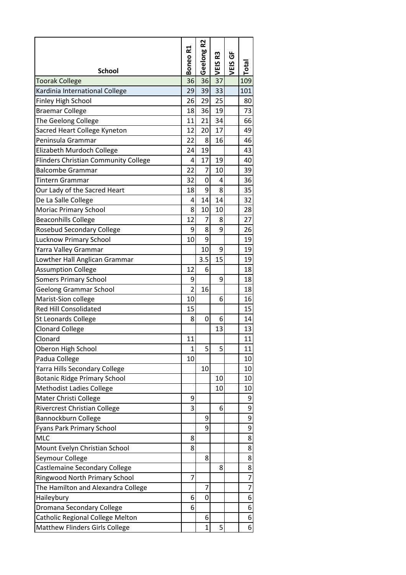|                                             | 75             | R <sub>2</sub> |            |           |                 |
|---------------------------------------------|----------------|----------------|------------|-----------|-----------------|
|                                             | Boneo          | Geelong        | 53<br>VEIS | Ğ<br>VEIS | $\sf Total$     |
| <b>School</b>                               |                |                |            |           |                 |
| <b>Toorak College</b>                       | 36             | 36             | 37         |           | 109             |
| Kardinia International College              | 29             | 39             | 33         |           | 101             |
| <b>Finley High School</b>                   | 26             | 29             | 25         |           | 80              |
| <b>Braemar College</b>                      | 18             | 36             | 19         |           | 73              |
| The Geelong College                         | 11             | 21             | 34         |           | 66              |
| Sacred Heart College Kyneton                | 12             | 20             | 17         |           | 49              |
| Peninsula Grammar                           | 22             | 8              | 16         |           | 46              |
| Elizabeth Murdoch College                   | 24             | 19             |            |           | 43              |
| <b>Flinders Christian Community College</b> | 4              | 17             | 19         |           | 40              |
| <b>Balcombe Grammar</b>                     | 22             | $\overline{7}$ | 10         |           | 39              |
| Tintern Grammar                             | 32             | 0              | 4          |           | 36              |
| Our Lady of the Sacred Heart                | 18             | 9              | 8          |           | 35              |
| De La Salle College                         | 4              | 14             | 14         |           | 32              |
| <b>Moriac Primary School</b>                | 8              | 10             | 10         |           | 28              |
| <b>Beaconhills College</b>                  | 12             | 7              | 8          |           | 27              |
| <b>Rosebud Secondary College</b>            | 9              | 8              | 9          |           | 26              |
| <b>Lucknow Primary School</b>               | 10             | 9              |            |           | 19              |
| Yarra Valley Grammar                        |                | 10             | 9          |           | 19              |
| Lowther Hall Anglican Grammar               |                | 3.5            | 15         |           | 19              |
| <b>Assumption College</b>                   | 12             | 6              |            |           | 18              |
| <b>Somers Primary School</b>                | 9              |                | 9          |           | 18              |
| <b>Geelong Grammar School</b>               | $\overline{2}$ | 16             |            |           | 18              |
| Marist-Sion college                         | 10             |                | 6          |           | 16              |
| <b>Red Hill Consolidated</b>                | 15             |                |            |           | 15              |
| St Leonards College                         | 8              | 0              | 6          |           | 14              |
| <b>Clonard College</b>                      |                |                | 13         |           | 13              |
| Clonard                                     | 11             |                |            |           | 11              |
| Oberon High School                          | $\mathbf{1}$   | 5              | 5          |           | 11              |
| Padua College                               | 10             |                |            |           | 10 <sup>1</sup> |
| Yarra Hills Secondary College               |                | 10             |            |           | 10              |
| <b>Botanic Ridge Primary School</b>         |                |                | 10         |           | 10              |
| <b>Methodist Ladies College</b>             |                |                | 10         |           | 10              |
| Mater Christi College                       | 9              |                |            |           | 9               |
| Rivercrest Christian College                | 3              |                | 6          |           | 9               |
| Bannockburn College                         |                | 9              |            |           | $\overline{9}$  |
| Fyans Park Primary School                   |                | 9              |            |           | $\overline{9}$  |
| MLC                                         | 8              |                |            |           | 8               |
| Mount Evelyn Christian School               | 8              |                |            |           | 8               |
| Seymour College                             |                | 8              |            |           | 8               |
| Castlemaine Secondary College               |                |                | 8          |           | $\overline{8}$  |
| <b>Ringwood North Primary School</b>        | 7              |                |            |           | $\overline{7}$  |
| The Hamilton and Alexandra College          |                | 7              |            |           | $\overline{7}$  |
| Haileybury                                  | 6              | $\mathbf 0$    |            |           | 6               |
| Dromana Secondary College                   | 6              |                |            |           | 6               |
| Catholic Regional College Melton            |                | 6              |            |           | 6               |
| <b>Matthew Flinders Girls College</b>       |                | $\mathbf{1}$   | 5          |           | 6               |